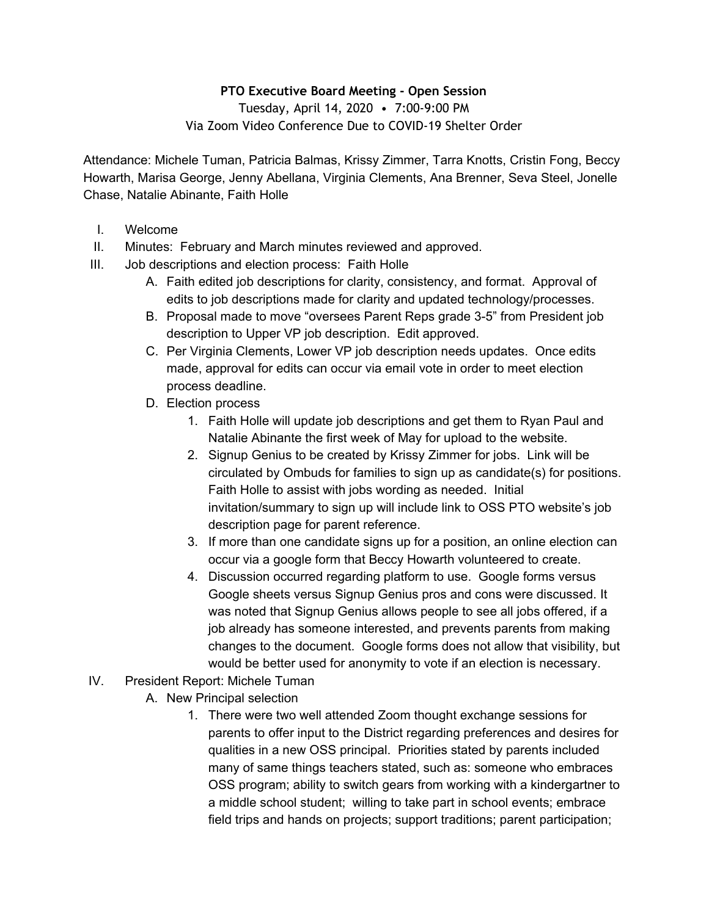## **PTO Executive Board Meeting - Open Session**

Tuesday, April 14, 2020 • 7:00-9:00 PM Via Zoom Video Conference Due to COVID-19 Shelter Order

Attendance: Michele Tuman, Patricia Balmas, Krissy Zimmer, Tarra Knotts, Cristin Fong, Beccy Howarth, Marisa George, Jenny Abellana, Virginia Clements, Ana Brenner, Seva Steel, Jonelle Chase, Natalie Abinante, Faith Holle

- I. Welcome
- II. Minutes: February and March minutes reviewed and approved.
- III. Job descriptions and election process: Faith Holle
	- A. Faith edited job descriptions for clarity, consistency, and format. Approval of edits to job descriptions made for clarity and updated technology/processes.
	- B. Proposal made to move "oversees Parent Reps grade 3-5" from President job description to Upper VP job description. Edit approved.
	- C. Per Virginia Clements, Lower VP job description needs updates. Once edits made, approval for edits can occur via email vote in order to meet election process deadline.
	- D. Election process
		- 1. Faith Holle will update job descriptions and get them to Ryan Paul and Natalie Abinante the first week of May for upload to the website.
		- 2. Signup Genius to be created by Krissy Zimmer for jobs. Link will be circulated by Ombuds for families to sign up as candidate(s) for positions. Faith Holle to assist with jobs wording as needed. Initial invitation/summary to sign up will include link to OSS PTO website's job description page for parent reference.
		- 3. If more than one candidate signs up for a position, an online election can occur via a google form that Beccy Howarth volunteered to create.
		- 4. Discussion occurred regarding platform to use. Google forms versus Google sheets versus Signup Genius pros and cons were discussed. It was noted that Signup Genius allows people to see all jobs offered, if a job already has someone interested, and prevents parents from making changes to the document. Google forms does not allow that visibility, but would be better used for anonymity to vote if an election is necessary.
- IV. President Report: Michele Tuman
	- A. New Principal selection
		- 1. There were two well attended Zoom thought exchange sessions for parents to offer input to the District regarding preferences and desires for qualities in a new OSS principal. Priorities stated by parents included many of same things teachers stated, such as: someone who embraces OSS program; ability to switch gears from working with a kindergartner to a middle school student; willing to take part in school events; embrace field trips and hands on projects; support traditions; parent participation;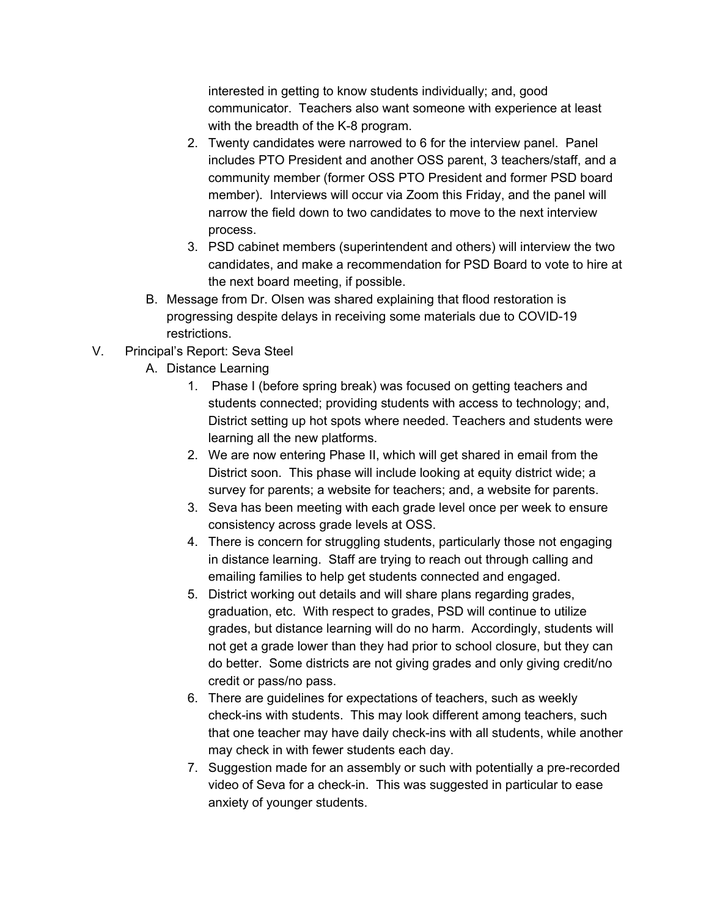interested in getting to know students individually; and, good communicator. Teachers also want someone with experience at least with the breadth of the K-8 program.

- 2. Twenty candidates were narrowed to 6 for the interview panel. Panel includes PTO President and another OSS parent, 3 teachers/staff, and a community member (former OSS PTO President and former PSD board member). Interviews will occur via Zoom this Friday, and the panel will narrow the field down to two candidates to move to the next interview process.
- 3. PSD cabinet members (superintendent and others) will interview the two candidates, and make a recommendation for PSD Board to vote to hire at the next board meeting, if possible.
- B. Message from Dr. Olsen was shared explaining that flood restoration is progressing despite delays in receiving some materials due to COVID-19 restrictions.
- V. Principal's Report: Seva Steel
	- A. Distance Learning
		- 1. Phase I (before spring break) was focused on getting teachers and students connected; providing students with access to technology; and, District setting up hot spots where needed. Teachers and students were learning all the new platforms.
		- 2. We are now entering Phase II, which will get shared in email from the District soon. This phase will include looking at equity district wide; a survey for parents; a website for teachers; and, a website for parents.
		- 3. Seva has been meeting with each grade level once per week to ensure consistency across grade levels at OSS.
		- 4. There is concern for struggling students, particularly those not engaging in distance learning. Staff are trying to reach out through calling and emailing families to help get students connected and engaged.
		- 5. District working out details and will share plans regarding grades, graduation, etc. With respect to grades, PSD will continue to utilize grades, but distance learning will do no harm. Accordingly, students will not get a grade lower than they had prior to school closure, but they can do better. Some districts are not giving grades and only giving credit/no credit or pass/no pass.
		- 6. There are guidelines for expectations of teachers, such as weekly check-ins with students. This may look different among teachers, such that one teacher may have daily check-ins with all students, while another may check in with fewer students each day.
		- 7. Suggestion made for an assembly or such with potentially a pre-recorded video of Seva for a check-in. This was suggested in particular to ease anxiety of younger students.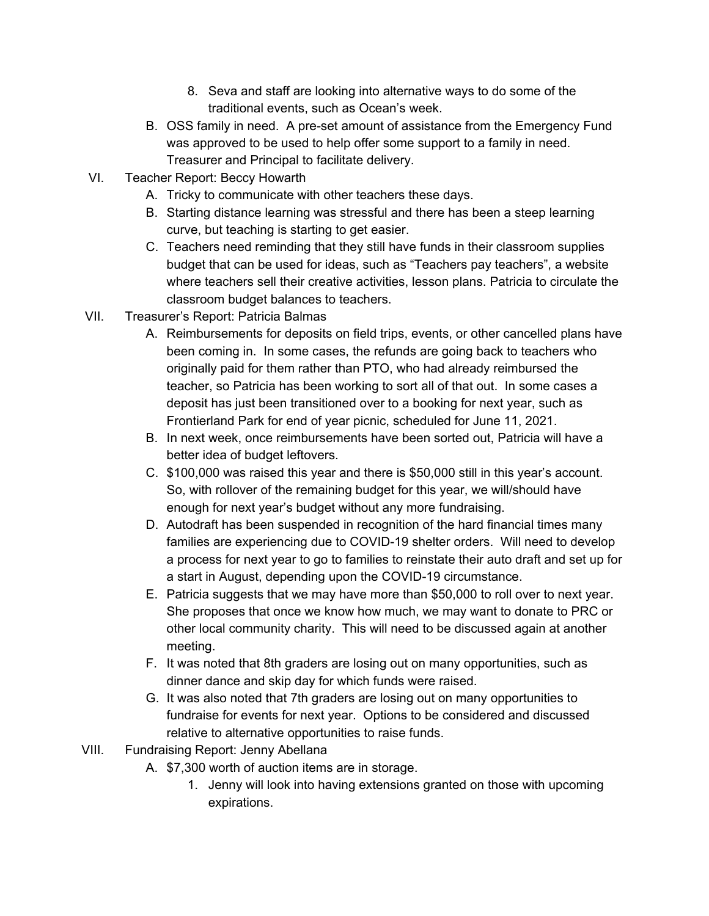- 8. Seva and staff are looking into alternative ways to do some of the traditional events, such as Ocean's week.
- B. OSS family in need. A pre-set amount of assistance from the Emergency Fund was approved to be used to help offer some support to a family in need. Treasurer and Principal to facilitate delivery.
- VI. Teacher Report: Beccy Howarth
	- A. Tricky to communicate with other teachers these days.
	- B. Starting distance learning was stressful and there has been a steep learning curve, but teaching is starting to get easier.
	- C. Teachers need reminding that they still have funds in their classroom supplies budget that can be used for ideas, such as "Teachers pay teachers", a website where teachers sell their creative activities, lesson plans. Patricia to circulate the classroom budget balances to teachers.
- VII. Treasurer's Report: Patricia Balmas
	- A. Reimbursements for deposits on field trips, events, or other cancelled plans have been coming in. In some cases, the refunds are going back to teachers who originally paid for them rather than PTO, who had already reimbursed the teacher, so Patricia has been working to sort all of that out. In some cases a deposit has just been transitioned over to a booking for next year, such as Frontierland Park for end of year picnic, scheduled for June 11, 2021.
	- B. In next week, once reimbursements have been sorted out, Patricia will have a better idea of budget leftovers.
	- C. \$100,000 was raised this year and there is \$50,000 still in this year's account. So, with rollover of the remaining budget for this year, we will/should have enough for next year's budget without any more fundraising.
	- D. Autodraft has been suspended in recognition of the hard financial times many families are experiencing due to COVID-19 shelter orders. Will need to develop a process for next year to go to families to reinstate their auto draft and set up for a start in August, depending upon the COVID-19 circumstance.
	- E. Patricia suggests that we may have more than \$50,000 to roll over to next year. She proposes that once we know how much, we may want to donate to PRC or other local community charity. This will need to be discussed again at another meeting.
	- F. It was noted that 8th graders are losing out on many opportunities, such as dinner dance and skip day for which funds were raised.
	- G. It was also noted that 7th graders are losing out on many opportunities to fundraise for events for next year. Options to be considered and discussed relative to alternative opportunities to raise funds.
- VIII. Fundraising Report: Jenny Abellana
	- A. \$7,300 worth of auction items are in storage.
		- 1. Jenny will look into having extensions granted on those with upcoming expirations.